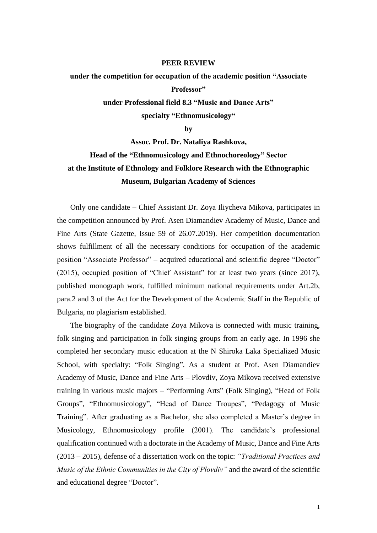## **PEER REVIEW**

## **under the competition for occupation of the academic position "Associate Professor" under Professional field 8.3 "Music and Dance Arts"**

**specialty "Ethnomusicology"**

**by**

**Assoc. Prof. Dr. Nataliya Rashkova, Head of the "Ethnomusicology and Ethnochoreology" Sector at the Institute of Ethnology and Folklore Research with the Ethnographic Museum, Bulgarian Academy of Sciences**

Only one candidate – Chief Assistant Dr. Zoya Iliycheva Mikova, participates in the competition announced by Prof. Asen Diamandiev Academy of Music, Dance and Fine Arts (State Gazette, Issue 59 of 26.07.2019). Her competition documentation shows fulfillment of all the necessary conditions for occupation of the academic position "Associate Professor" – acquired educational and scientific degree "Doctor" (2015), occupied position of "Chief Assistant" for at least two years (since 2017), published monograph work, fulfilled minimum national requirements under Art.2b, para.2 and 3 of the Act for the Development of the Academic Staff in the Republic of Bulgaria, no plagiarism established.

The biography of the candidate Zoya Mikova is connected with music training, folk singing and participation in folk singing groups from an early age. In 1996 she completed her secondary music education at the N Shiroka Laka Specialized Music School, with specialty: "Folk Singing". As a student at Prof. Asen Diamandiev Academy of Music, Dance and Fine Arts – Plovdiv, Zoya Mikova received extensive training in various music majors – "Performing Arts" (Folk Singing), "Head of Folk Groups", "Ethnomusicology", "Head of Dance Troupes", "Pedagogy of Music Training". After graduating as a Bachelor, she also completed a Master's degree in Musicology, Ethnomusicology profile (2001). The candidate's professional qualification continued with a doctorate in the Academy of Music, Dance and Fine Arts (2013 – 2015), defense of a dissertation work on the topic: *"Traditional Practices and Music of the Ethnic Communities in the City of Plovdiv"* and the award of the scientific and educational degree "Doctor".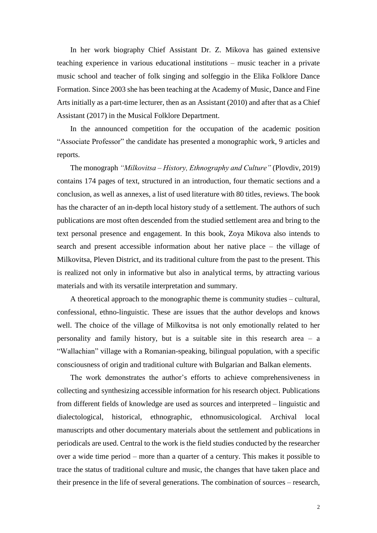In her work biography Chief Assistant Dr. Z. Mikova has gained extensive teaching experience in various educational institutions – music teacher in a private music school and teacher of folk singing and solfeggio in the Elika Folklore Dance Formation. Since 2003 she has been teaching at the Academy of Music, Dance and Fine Arts initially as a part-time lecturer, then as an Assistant (2010) and after that as a Chief Assistant (2017) in the Musical Folklore Department.

In the announced competition for the occupation of the academic position "Associate Professor" the candidate has presented a monographic work, 9 articles and reports.

The monograph *"Milkovitsa – History, Ethnography and Culture"* (Plovdiv, 2019) contains 174 pages of text, structured in an introduction, four thematic sections and a conclusion, as well as annexes, a list of used literature with 80 titles, reviews. The book has the character of an in-depth local history study of a settlement. The authors of such publications are most often descended from the studied settlement area and bring to the text personal presence and engagement. In this book, Zoya Mikova also intends to search and present accessible information about her native place – the village of Milkovitsa, Pleven District, and its traditional culture from the past to the present. This is realized not only in informative but also in analytical terms, by attracting various materials and with its versatile interpretation and summary.

A theoretical approach to the monographic theme is community studies – cultural, confessional, ethno-linguistic. These are issues that the author develops and knows well. The choice of the village of Milkovitsa is not only emotionally related to her personality and family history, but is a suitable site in this research area – a "Wallachian" village with a Romanian-speaking, bilingual population, with a specific consciousness of origin and traditional culture with Bulgarian and Balkan elements.

The work demonstrates the author's efforts to achieve comprehensiveness in collecting and synthesizing accessible information for his research object. Publications from different fields of knowledge are used as sources and interpreted – linguistic and dialectological, historical, ethnographic, ethnomusicological. Archival local manuscripts and other documentary materials about the settlement and publications in periodicals are used. Central to the work is the field studies conducted by the researcher over a wide time period – more than a quarter of a century. This makes it possible to trace the status of traditional culture and music, the changes that have taken place and their presence in the life of several generations. The combination of sources – research,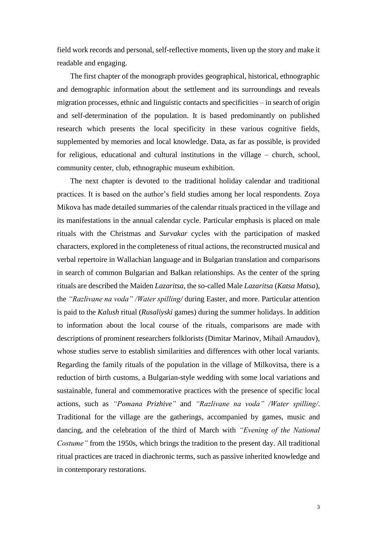field work records and personal, self-reflective moments, liven up the story and make it readable and engaging.

The first chapter of the monograph provides geographical, historical, ethnographic and demographic information about the settlement and its surroundings and reveals migration processes, ethnic and linguistic contacts and specificities – in search of origin and self-determination of the population. It is based predominantly on published research which presents the local specificity in these various cognitive fields, supplemented by memories and local knowledge. Data, as far as possible, is provided for religious, educational and cultural institutions in the village – church, school, community center, club, ethnographic museum exhibition.

The next chapter is devoted to the traditional holiday calendar and traditional practices. It is based on the author's field studies among her local respondents. Zoya Mikova has made detailed summaries of the calendar rituals practiced in the village and its manifestations in the annual calendar cycle. Particular emphasis is placed on male rituals with the Christmas and *Survakar* cycles with the participation of masked characters, explored in the completeness of ritual actions, the reconstructed musical and verbal repertoire in Wallachian language and in Bulgarian translation and comparisons in search of common Bulgarian and Balkan relationships. As the center of the spring rituals are described the Maiden *Lazaritsa*, the so-called Male *Lazaritsa* (*Katsa Matsa*), the *"Razlivane na voda" /Water spilling/* during Easter, and more. Particular attention is paid to the *Kalush* ritual (*Rusaliyski* games) during the summer holidays. In addition to information about the local course of the rituals, comparisons are made with descriptions of prominent researchers folklorists (Dimitar Marinov, Mihail Arnaudov), whose studies serve to establish similarities and differences with other local variants. Regarding the family rituals of the population in the village of Milkovitsa, there is a reduction of birth customs, a Bulgarian-style wedding with some local variations and sustainable, funeral and commemorative practices with the presence of specific local actions, such as *"Pomana Prizhive"* and *"Razlivane na voda" /Water spilling/*. Traditional for the village are the gatherings, accompanied by games, music and dancing, and the celebration of the third of March with *"Evening of the National Costume"* from the 1950s, which brings the tradition to the present day. All traditional ritual practices are traced in diachronic terms, such as passive inherited knowledge and in contemporary restorations.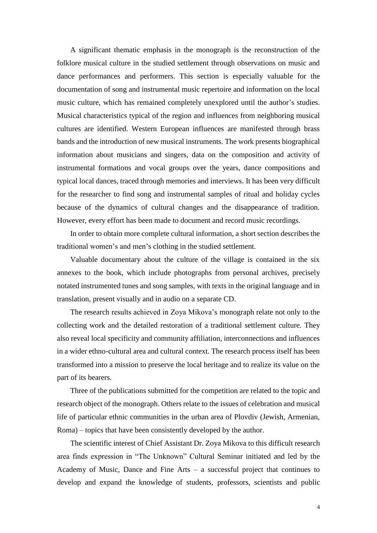A significant thematic emphasis in the monograph is the reconstruction of the folklore musical culture in the studied settlement through observations on music and dance performances and performers. This section is especially valuable for the documentation of song and instrumental music repertoire and information on the local music culture, which has remained completely unexplored until the author's studies. Musical characteristics typical of the region and influences from neighboring musical cultures are identified. Western European influences are manifested through brass bands and the introduction of new musical instruments. The work presents biographical information about musicians and singers, data on the composition and activity of instrumental formations and vocal groups over the years, dance compositions and typical local dances, traced through memories and interviews. It has been very difficult for the researcher to find song and instrumental samples of ritual and holiday cycles because of the dynamics of cultural changes and the disappearance of tradition. However, every effort has been made to document and record music recordings.

In order to obtain more complete cultural information, a short section describes the traditional women's and men's clothing in the studied settlement.

Valuable documentary about the culture of the village is contained in the six annexes to the book, which include photographs from personal archives, precisely notated instrumented tunes and song samples, with texts in the original language and in translation, present visually and in audio on a separate CD.

The research results achieved in Zoya Mikova's monograph relate not only to the collecting work and the detailed restoration of a traditional settlement culture. They also reveal local specificity and community affiliation, interconnections and influences in a wider ethno-cultural area and cultural context. The research process itself has been transformed into a mission to preserve the local heritage and to realize its value on the part of its bearers.

Three of the publications submitted for the competition are related to the topic and research object of the monograph. Others relate to the issues of celebration and musical life of particular ethnic communities in the urban area of Plovdiv (Jewish, Armenian, Roma) – topics that have been consistently developed by the author.

The scientific interest of Chief Assistant Dr. Zoya Mikova to this difficult research area finds expression in "The Unknown" Cultural Seminar initiated and led by the Academy of Music, Dance and Fine Arts – a successful project that continues to develop and expand the knowledge of students, professors, scientists and public